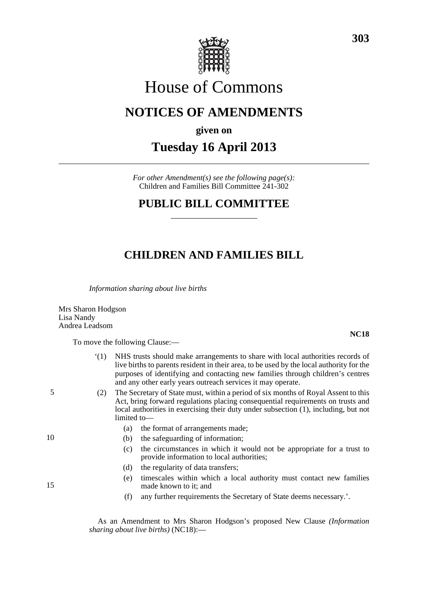

# House of Commons

## **NOTICES OF AMENDMENTS**

**given on**

# **Tuesday 16 April 2013**

*For other Amendment(s) see the following page(s):* Children and Families Bill Committee 241-302

### **PUBLIC BILL COMMITTEE**

### **CHILDREN AND FAMILIES BILL**

*Information sharing about live births*

Mrs Sharon Hodgson Lisa Nandy Andrea Leadsom

To move the following Clause:—

|    | (1) | NHS trusts should make arrangements to share with local authorities records of<br>live births to parents resident in their area, to be used by the local authority for the<br>purposes of identifying and contacting new families through children's centres<br>and any other early years outreach services it may operate. |
|----|-----|-----------------------------------------------------------------------------------------------------------------------------------------------------------------------------------------------------------------------------------------------------------------------------------------------------------------------------|
| 5  | (2) | The Secretary of State must, within a period of six months of Royal Assent to this<br>Act, bring forward regulations placing consequential requirements on trusts and<br>local authorities in exercising their duty under subsection (1), including, but not<br>limited to-                                                 |
|    |     | the format of arrangements made;<br>(a)                                                                                                                                                                                                                                                                                     |
| 10 |     | the safeguarding of information;<br>(b)                                                                                                                                                                                                                                                                                     |
|    |     | the circumstances in which it would not be appropriate for a trust to<br>(c)<br>provide information to local authorities;                                                                                                                                                                                                   |
| 15 |     | the regularity of data transfers;<br>(d)                                                                                                                                                                                                                                                                                    |
|    |     | timescales within which a local authority must contact new families<br>(e)<br>made known to it; and                                                                                                                                                                                                                         |
|    |     | any further requirements the Secretary of State deems necessary.'.<br>(f)                                                                                                                                                                                                                                                   |
|    |     |                                                                                                                                                                                                                                                                                                                             |

As an Amendment to Mrs Sharon Hodgson's proposed New Clause *(Information sharing about live births)* (NC18):—

**NC18**